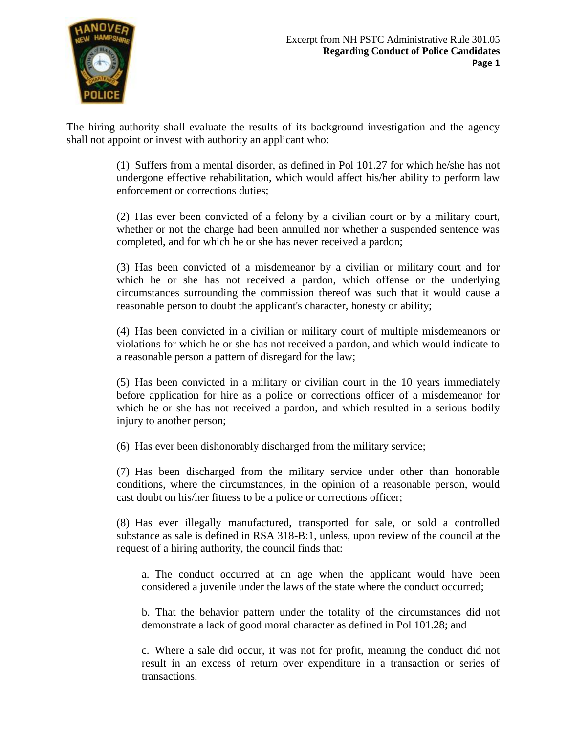

The hiring authority shall evaluate the results of its background investigation and the agency shall not appoint or invest with authority an applicant who:

> (1) Suffers from a mental disorder, as defined in Pol 101.27 for which he/she has not undergone effective rehabilitation, which would affect his/her ability to perform law enforcement or corrections duties;

> (2) Has ever been convicted of a felony by a civilian court or by a military court, whether or not the charge had been annulled nor whether a suspended sentence was completed, and for which he or she has never received a pardon;

> (3) Has been convicted of a misdemeanor by a civilian or military court and for which he or she has not received a pardon, which offense or the underlying circumstances surrounding the commission thereof was such that it would cause a reasonable person to doubt the applicant's character, honesty or ability;

> (4) Has been convicted in a civilian or military court of multiple misdemeanors or violations for which he or she has not received a pardon, and which would indicate to a reasonable person a pattern of disregard for the law;

> (5) Has been convicted in a military or civilian court in the 10 years immediately before application for hire as a police or corrections officer of a misdemeanor for which he or she has not received a pardon, and which resulted in a serious bodily injury to another person;

(6) Has ever been dishonorably discharged from the military service;

(7) Has been discharged from the military service under other than honorable conditions, where the circumstances, in the opinion of a reasonable person, would cast doubt on his/her fitness to be a police or corrections officer;

(8) Has ever illegally manufactured, transported for sale, or sold a controlled substance as sale is defined in RSA 318-B:1, unless, upon review of the council at the request of a hiring authority, the council finds that:

a. The conduct occurred at an age when the applicant would have been considered a juvenile under the laws of the state where the conduct occurred;

b. That the behavior pattern under the totality of the circumstances did not demonstrate a lack of good moral character as defined in Pol 101.28; and

c. Where a sale did occur, it was not for profit, meaning the conduct did not result in an excess of return over expenditure in a transaction or series of transactions.